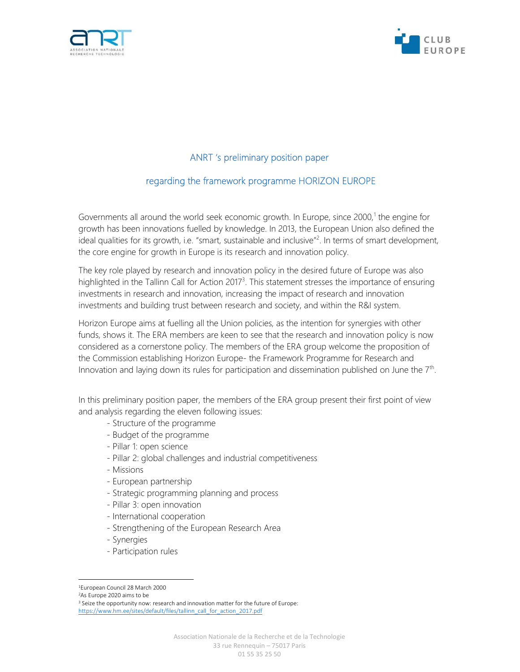



# ANRT 's preliminary position paper

# regarding the framework programme HORIZON EUROPE

Governments all around the world seek economic growth. In Europe, since 2000,<sup>1</sup> the engine for growth has been innovations fuelled by knowledge. In 2013, the European Union also defined the ideal qualities for its growth, i.e. "smart, sustainable and inclusive"<sup>2</sup>. In terms of smart development, the core engine for growth in Europe is its research and innovation policy.

The key role played by research and innovation policy in the desired future of Europe was also highlighted in the Tallinn Call for Action 2017<sup>3</sup>. This statement stresses the importance of ensuring investments in research and innovation, increasing the impact of research and innovation investments and building trust between research and society, and within the R&I system.

Horizon Europe aims at fuelling all the Union policies, as the intention for synergies with other funds, shows it. The ERA members are keen to see that the research and innovation policy is now considered as a cornerstone policy. The members of the ERA group welcome the proposition of the Commission establishing Horizon Europe- the Framework Programme for Research and Innovation and laying down its rules for participation and dissemination published on June the  $7<sup>th</sup>$ .

In this preliminary position paper, the members of the ERA group present their first point of view and analysis regarding the eleven following issues:

- Structure of the programme
- Budget of the programme
- Pillar 1: open science
- Pillar 2: global challenges and industrial competitiveness
- Missions
- European partnership
- Strategic programming planning and process
- Pillar 3: open innovation
- International cooperation
- Strengthening of the European Research Area
- Synergies
- Participation rules

<sup>2</sup>As Europe 2020 aims to be

<sup>3</sup> Seize the opportunity now: research and innovation matter for the future of Europe: https://www.hm.ee/sites/default/files/tallinn\_call\_for\_action\_2017.pdf

<sup>1</sup>European Council 28 March 2000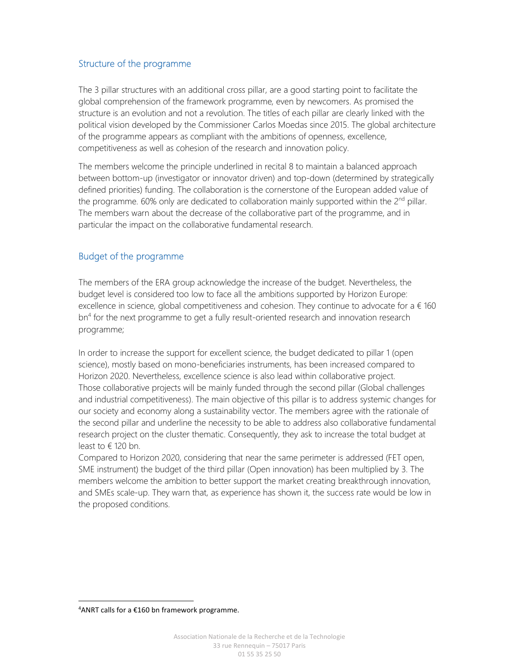## Structure of the programme

The 3 pillar structures with an additional cross pillar, are a good starting point to facilitate the global comprehension of the framework programme, even by newcomers. As promised the structure is an evolution and not a revolution. The titles of each pillar are clearly linked with the political vision developed by the Commissioner Carlos Moedas since 2015. The global architecture of the programme appears as compliant with the ambitions of openness, excellence, competitiveness as well as cohesion of the research and innovation policy.

The members welcome the principle underlined in recital 8 to maintain a balanced approach between bottom-up (investigator or innovator driven) and top-down (determined by strategically defined priorities) funding. The collaboration is the cornerstone of the European added value of the programme. 60% only are dedicated to collaboration mainly supported within the  $2<sup>nd</sup>$  pillar. The members warn about the decrease of the collaborative part of the programme, and in particular the impact on the collaborative fundamental research.

## Budget of the programme

The members of the ERA group acknowledge the increase of the budget. Nevertheless, the budget level is considered too low to face all the ambitions supported by Horizon Europe: excellence in science, global competitiveness and cohesion. They continue to advocate for  $a \in 160$ bn<sup>4</sup> for the next programme to get a fully result-oriented research and innovation research programme;

In order to increase the support for excellent science, the budget dedicated to pillar 1 (open science), mostly based on mono-beneficiaries instruments, has been increased compared to Horizon 2020. Nevertheless, excellence science is also lead within collaborative project. Those collaborative projects will be mainly funded through the second pillar (Global challenges and industrial competitiveness). The main objective of this pillar is to address systemic changes for our society and economy along a sustainability vector. The members agree with the rationale of the second pillar and underline the necessity to be able to address also collaborative fundamental research project on the cluster thematic. Consequently, they ask to increase the total budget at least to  $\in$  120 bn.

Compared to Horizon 2020, considering that near the same perimeter is addressed (FET open, SME instrument) the budget of the third pillar (Open innovation) has been multiplied by 3. The members welcome the ambition to better support the market creating breakthrough innovation, and SMEs scale-up. They warn that, as experience has shown it, the success rate would be low in the proposed conditions.

 $4$ ANRT calls for a  $£160$  bn framework programme.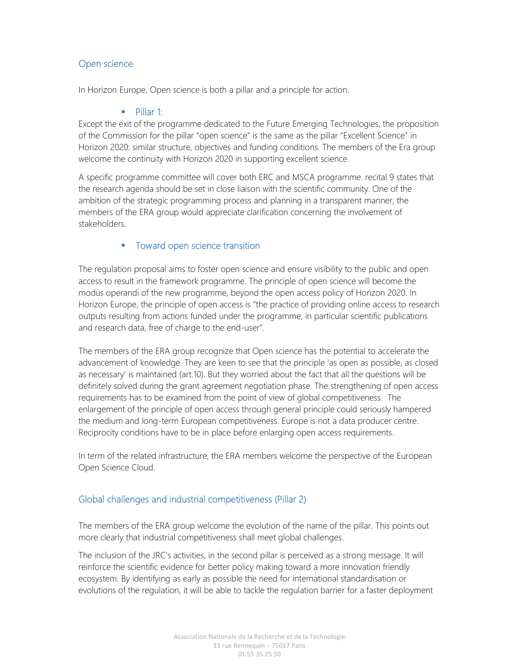## Open science

In Horizon Europe, Open science is both a pillar and a principle for action.

#### **Pillar 1:**

Except the exit of the programme dedicated to the Future Emerging Technologies, the proposition of the Commission for the pillar "open science" is the same as the pillar "Excellent Science" in Horizon 2020: similar structure, objectives and funding conditions. The members of the Era group welcome the continuity with Horizon 2020 in supporting excellent science.

A specific programme committee will cover both ERC and MSCA programme. recital 9 states that the research agenda should be set in close liaison with the scientific community. One of the ambition of the strategic programming process and planning in a transparent manner, the members of the ERA group would appreciate clarification concerning the involvement of stakeholders.

### **Toward open science transition**

The regulation proposal aims to foster open science and ensure visibility to the public and open access to result in the framework programme. The principle of open science will become the modus operandi of the new programme, beyond the open access policy of Horizon 2020. In Horizon Europe, the principle of open access is "the practice of providing online access to research outputs resulting from actions funded under the programme, in particular scientific publications and research data, free of charge to the end-user".

The members of the ERA group recognize that Open science has the potential to accelerate the advancement of knowledge. They are keen to see that the principle 'as open as possible, as closed as necessary' is maintained (art.10). But they worried about the fact that all the questions will be definitely solved during the grant agreement negotiation phase. The strengthening of open access requirements has to be examined from the point of view of global competitiveness. The enlargement of the principle of open access through general principle could seriously hampered the medium and long-term European competitiveness. Europe is not a data producer centre. Reciprocity conditions have to be in place before enlarging open access requirements.

In term of the related infrastructure, the ERA members welcome the perspective of the European Open Science Cloud.

## Global challenges and industrial competitiveness (Pillar 2)

The members of the ERA group welcome the evolution of the name of the pillar. This points out more clearly that industrial competitiveness shall meet global challenges.

The inclusion of the JRC's activities, in the second pillar is perceived as a strong message. It will reinforce the scientific evidence for better policy making toward a more innovation friendly ecosystem. By identifying as early as possible the need for international standardisation or evolutions of the regulation, it will be able to tackle the regulation barrier for a faster deployment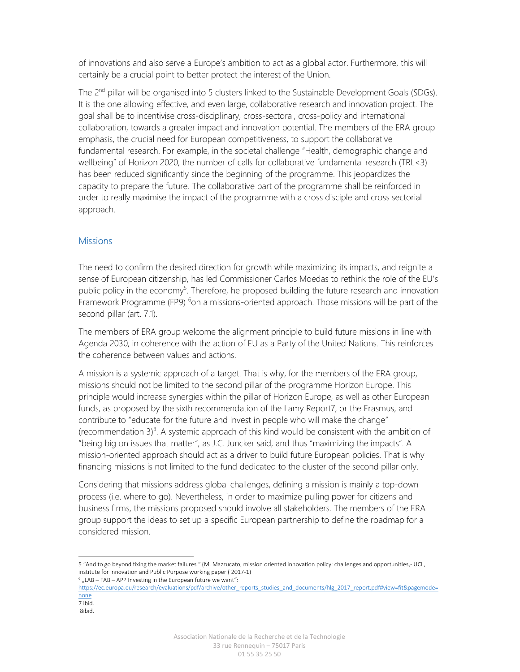of innovations and also serve a Europe's ambition to act as a global actor. Furthermore, this will certainly be a crucial point to better protect the interest of the Union.

The 2<sup>nd</sup> pillar will be organised into 5 clusters linked to the Sustainable Development Goals (SDGs). It is the one allowing effective, and even large, collaborative research and innovation project. The goal shall be to incentivise cross-disciplinary, cross-sectoral, cross-policy and international collaboration, towards a greater impact and innovation potential. The members of the ERA group emphasis, the crucial need for European competitiveness, to support the collaborative fundamental research. For example, in the societal challenge "Health, demographic change and wellbeing" of Horizon 2020, the number of calls for collaborative fundamental research (TRL<3) has been reduced significantly since the beginning of the programme. This jeopardizes the capacity to prepare the future. The collaborative part of the programme shall be reinforced in order to really maximise the impact of the programme with a cross disciple and cross sectorial approach.

### **Missions**

The need to confirm the desired direction for growth while maximizing its impacts, and reignite a sense of European citizenship, has led Commissioner Carlos Moedas to rethink the role of the EU's public policy in the economy<sup>5</sup>. Therefore, he proposed building the future research and innovation Framework Programme (FP9) <sup>6</sup>on a missions-oriented approach. Those missions will be part of the second pillar (art. 7.1).

The members of ERA group welcome the alignment principle to build future missions in line with Agenda 2030, in coherence with the action of EU as a Party of the United Nations. This reinforces the coherence between values and actions.

A mission is a systemic approach of a target. That is why, for the members of the ERA group, missions should not be limited to the second pillar of the programme Horizon Europe. This principle would increase synergies within the pillar of Horizon Europe, as well as other European funds, as proposed by the sixth recommendation of the Lamy Report7, or the Erasmus, and contribute to "educate for the future and invest in people who will make the change" (recommendation  $3)^8$ . A systemic approach of this kind would be consistent with the ambition of "being big on issues that matter", as J.C. Juncker said, and thus "maximizing the impacts". A mission-oriented approach should act as a driver to build future European policies. That is why financing missions is not limited to the fund dedicated to the cluster of the second pillar only.

Considering that missions address global challenges, defining a mission is mainly a top-down process (i.e. where to go). Nevertheless, in order to maximize pulling power for citizens and business firms, the missions proposed should involve all stakeholders. The members of the ERA group support the ideas to set up a specific European partnership to define the roadmap for a considered mission.

<sup>5 &</sup>quot;And to go beyond fixing the market failures " (M. Mazzucato, mission oriented innovation policy: challenges and opportunities,- UCL, institute for innovation and Public Purpose working paper ( 2017-1)

 $6$  "LAB – FAB – APP Investing in the European future we want":

https://ec.europa.eu/research/evaluations/pdf/archive/other\_reports\_studies\_and\_documents/hlg\_2017\_report.pdf#view=fit&pagemode= none

<sup>7</sup> ibid.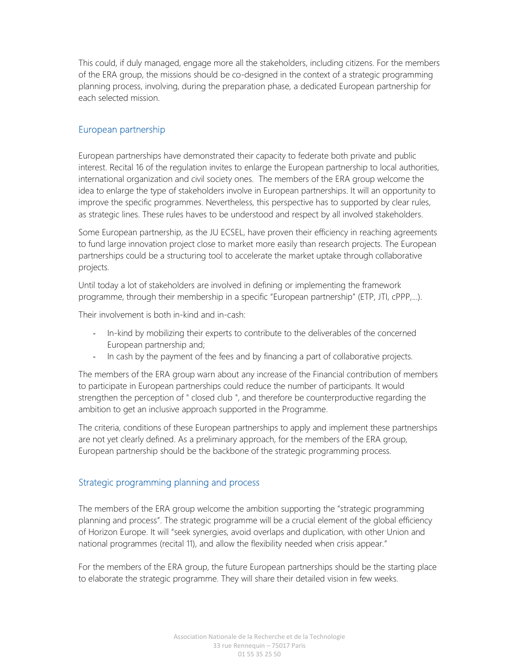This could, if duly managed, engage more all the stakeholders, including citizens. For the members of the ERA group, the missions should be co-designed in the context of a strategic programming planning process, involving, during the preparation phase, a dedicated European partnership for each selected mission.

### European partnership

European partnerships have demonstrated their capacity to federate both private and public interest. Recital 16 of the regulation invites to enlarge the European partnership to local authorities, international organization and civil society ones. The members of the ERA group welcome the idea to enlarge the type of stakeholders involve in European partnerships. It will an opportunity to improve the specific programmes. Nevertheless, this perspective has to supported by clear rules, as strategic lines. These rules haves to be understood and respect by all involved stakeholders.

Some European partnership, as the JU ECSEL, have proven their efficiency in reaching agreements to fund large innovation project close to market more easily than research projects. The European partnerships could be a structuring tool to accelerate the market uptake through collaborative projects.

Until today a lot of stakeholders are involved in defining or implementing the framework programme, through their membership in a specific "European partnership" (ETP, JTI, cPPP,...).

Their involvement is both in-kind and in-cash:

- In-kind by mobilizing their experts to contribute to the deliverables of the concerned European partnership and;
- In cash by the payment of the fees and by financing a part of collaborative projects.

The members of the ERA group warn about any increase of the Financial contribution of members to participate in European partnerships could reduce the number of participants. It would strengthen the perception of " closed club ", and therefore be counterproductive regarding the ambition to get an inclusive approach supported in the Programme.

The criteria, conditions of these European partnerships to apply and implement these partnerships are not yet clearly defined. As a preliminary approach, for the members of the ERA group, European partnership should be the backbone of the strategic programming process.

## Strategic programming planning and process

The members of the ERA group welcome the ambition supporting the "strategic programming planning and process". The strategic programme will be a crucial element of the global efficiency of Horizon Europe. It will "seek synergies, avoid overlaps and duplication, with other Union and national programmes (recital 11), and allow the flexibility needed when crisis appear."

For the members of the ERA group, the future European partnerships should be the starting place to elaborate the strategic programme. They will share their detailed vision in few weeks.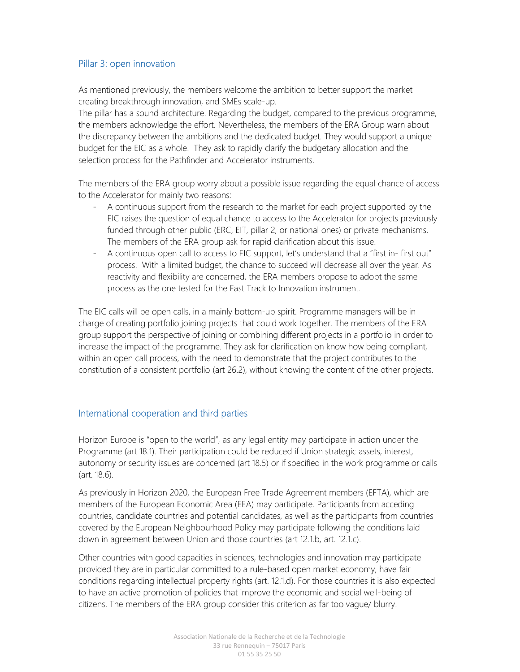### Pillar 3: open innovation

As mentioned previously, the members welcome the ambition to better support the market creating breakthrough innovation, and SMEs scale-up.

The pillar has a sound architecture. Regarding the budget, compared to the previous programme, the members acknowledge the effort. Nevertheless, the members of the ERA Group warn about the discrepancy between the ambitions and the dedicated budget. They would support a unique budget for the EIC as a whole. They ask to rapidly clarify the budgetary allocation and the selection process for the Pathfinder and Accelerator instruments.

The members of the ERA group worry about a possible issue regarding the equal chance of access to the Accelerator for mainly two reasons:

- A continuous support from the research to the market for each project supported by the EIC raises the question of equal chance to access to the Accelerator for projects previously funded through other public (ERC, EIT, pillar 2, or national ones) or private mechanisms. The members of the ERA group ask for rapid clarification about this issue.
- A continuous open call to access to EIC support, let's understand that a "first in- first out" process. With a limited budget, the chance to succeed will decrease all over the year. As reactivity and flexibility are concerned, the ERA members propose to adopt the same process as the one tested for the Fast Track to Innovation instrument.

The EIC calls will be open calls, in a mainly bottom-up spirit. Programme managers will be in charge of creating portfolio joining projects that could work together. The members of the ERA group support the perspective of joining or combining different projects in a portfolio in order to increase the impact of the programme. They ask for clarification on know how being compliant, within an open call process, with the need to demonstrate that the project contributes to the constitution of a consistent portfolio (art 26.2), without knowing the content of the other projects.

#### International cooperation and third parties

Horizon Europe is "open to the world", as any legal entity may participate in action under the Programme (art 18.1). Their participation could be reduced if Union strategic assets, interest, autonomy or security issues are concerned (art 18.5) or if specified in the work programme or calls (art. 18.6).

As previously in Horizon 2020, the European Free Trade Agreement members (EFTA), which are members of the European Economic Area (EEA) may participate. Participants from acceding countries, candidate countries and potential candidates, as well as the participants from countries covered by the European Neighbourhood Policy may participate following the conditions laid down in agreement between Union and those countries (art 12.1.b, art. 12.1.c).

Other countries with good capacities in sciences, technologies and innovation may participate provided they are in particular committed to a rule-based open market economy, have fair conditions regarding intellectual property rights (art. 12.1.d). For those countries it is also expected to have an active promotion of policies that improve the economic and social well-being of citizens. The members of the ERA group consider this criterion as far too vague/ blurry.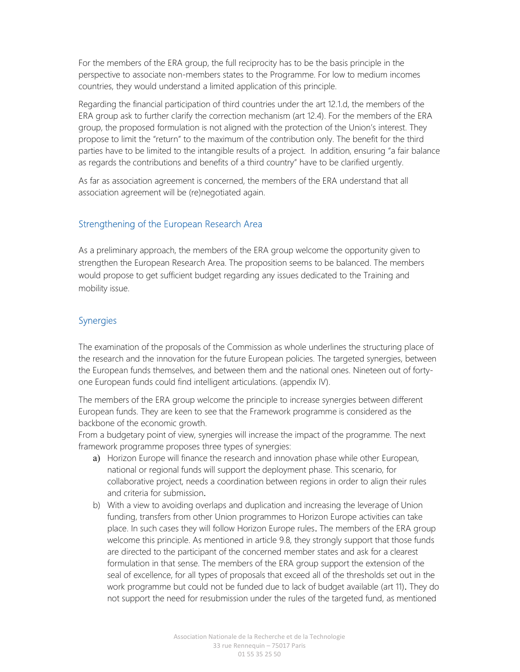For the members of the ERA group, the full reciprocity has to be the basis principle in the perspective to associate non-members states to the Programme. For low to medium incomes countries, they would understand a limited application of this principle.

Regarding the financial participation of third countries under the art 12.1.d, the members of the ERA group ask to further clarify the correction mechanism (art 12.4). For the members of the ERA group, the proposed formulation is not aligned with the protection of the Union's interest. They propose to limit the "return" to the maximum of the contribution only. The benefit for the third parties have to be limited to the intangible results of a project. In addition, ensuring "a fair balance as regards the contributions and benefits of a third country" have to be clarified urgently.

As far as association agreement is concerned, the members of the ERA understand that all association agreement will be (re)negotiated again.

### Strengthening of the European Research Area

As a preliminary approach, the members of the ERA group welcome the opportunity given to strengthen the European Research Area. The proposition seems to be balanced. The members would propose to get sufficient budget regarding any issues dedicated to the Training and mobility issue.

### Synergies

The examination of the proposals of the Commission as whole underlines the structuring place of the research and the innovation for the future European policies. The targeted synergies, between the European funds themselves, and between them and the national ones. Nineteen out of fortyone European funds could find intelligent articulations. (appendix IV).

The members of the ERA group welcome the principle to increase synergies between different European funds. They are keen to see that the Framework programme is considered as the backbone of the economic growth.

From a budgetary point of view, synergies will increase the impact of the programme. The next framework programme proposes three types of synergies:

- a) Horizon Europe will finance the research and innovation phase while other European, national or regional funds will support the deployment phase. This scenario, for collaborative project, needs a coordination between regions in order to align their rules and criteria for submission.
- b) With a view to avoiding overlaps and duplication and increasing the leverage of Union funding, transfers from other Union programmes to Horizon Europe activities can take place. In such cases they will follow Horizon Europe rules. The members of the ERA group welcome this principle. As mentioned in article 9.8, they strongly support that those funds are directed to the participant of the concerned member states and ask for a clearest formulation in that sense. The members of the ERA group support the extension of the seal of excellence, for all types of proposals that exceed all of the thresholds set out in the work programme but could not be funded due to lack of budget available (art 11). They do not support the need for resubmission under the rules of the targeted fund, as mentioned